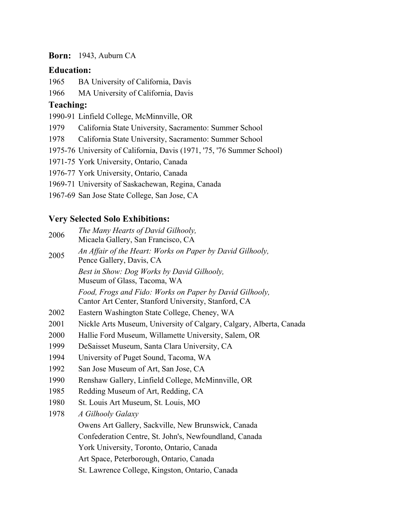#### **Born:** 1943, Auburn CA

#### **Education:**

1965 BA University of California, Davis

1966 MA University of California, Davis

### **Teaching:**

1990-91 Linfield College, McMinnville, OR

1979 California State University, Sacramento: Summer School

- 1978 California State University, Sacramento: Summer School
- 1975-76 University of California, Davis (1971, '75, '76 Summer School)
- 1971-75 York University, Ontario, Canada

1976-77 York University, Ontario, Canada

1969-71 University of Saskachewan, Regina, Canada

1967-69 San Jose State College, San Jose, CA

# **Very Selected Solo Exhibitions:**

- <sup>2006</sup> *The Many Hearts of David Gilhooly,*
- Micaela Gallery, San Francisco, CA <sup>2005</sup> *An Affair of the Heart: Works on Paper by David Gilhooly,* Pence Gallery, Davis, CA *Best in Show: Dog Works by David Gilhooly,* Museum of Glass, Tacoma, WA

*Food, Frogs and Fido: Works on Paper by David Gilhooly,* Cantor Art Center, Stanford University, Stanford, CA

- 2002 Eastern Washington State College, Cheney, WA
- 2001 Nickle Arts Museum, University of Calgary, Calgary, Alberta, Canada
- 2000 Hallie Ford Museum, Willamette University, Salem, OR
- 1999 DeSaisset Museum, Santa Clara University, CA
- 1994 University of Puget Sound, Tacoma, WA
- 1992 San Jose Museum of Art, San Jose, CA
- 1990 Renshaw Gallery, Linfield College, McMinnville, OR
- 1985 Redding Museum of Art, Redding, CA
- 1980 St. Louis Art Museum, St. Louis, MO

1978 *A Gilhooly Galaxy*

Owens Art Gallery, Sackville, New Brunswick, Canada Confederation Centre, St. John's, Newfoundland, Canada

York University, Toronto, Ontario, Canada

Art Space, Peterborough, Ontario, Canada

St. Lawrence College, Kingston, Ontario, Canada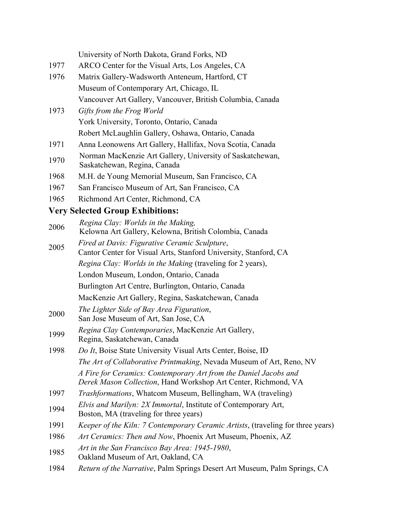|      | University of North Dakota, Grand Forks, ND                                                                                        |
|------|------------------------------------------------------------------------------------------------------------------------------------|
| 1977 | ARCO Center for the Visual Arts, Los Angeles, CA                                                                                   |
| 1976 | Matrix Gallery-Wadsworth Anteneum, Hartford, CT                                                                                    |
|      | Museum of Contemporary Art, Chicago, IL                                                                                            |
|      | Vancouver Art Gallery, Vancouver, British Columbia, Canada                                                                         |
| 1973 | Gifts from the Frog World                                                                                                          |
|      | York University, Toronto, Ontario, Canada                                                                                          |
|      | Robert McLaughlin Gallery, Oshawa, Ontario, Canada                                                                                 |
| 1971 | Anna Leonowens Art Gallery, Hallifax, Nova Scotia, Canada                                                                          |
| 1970 | Norman MacKenzie Art Gallery, University of Saskatchewan,<br>Saskatchewan, Regina, Canada                                          |
| 1968 | M.H. de Young Memorial Museum, San Francisco, CA                                                                                   |
| 1967 | San Francisco Museum of Art, San Francisco, CA                                                                                     |
| 1965 | Richmond Art Center, Richmond, CA                                                                                                  |
|      | <b>Very Selected Group Exhibitions:</b>                                                                                            |
| 2006 | Regina Clay: Worlds in the Making,<br>Kelowna Art Gallery, Kelowna, British Colombia, Canada                                       |
| 2005 | Fired at Davis: Figurative Ceramic Sculpture,<br>Cantor Center for Visual Arts, Stanford University, Stanford, CA                  |
|      | Regina Clay: Worlds in the Making (traveling for 2 years),                                                                         |
|      | London Museum, London, Ontario, Canada                                                                                             |
|      | Burlington Art Centre, Burlington, Ontario, Canada                                                                                 |
|      | MacKenzie Art Gallery, Regina, Saskatchewan, Canada                                                                                |
| 2000 | The Lighter Side of Bay Area Figuration,<br>San Jose Museum of Art, San Jose, CA                                                   |
| 1999 | Regina Clay Contemporaries, MacKenzie Art Gallery,<br>Regina, Saskatchewan, Canada                                                 |
| 1998 | Do It, Boise State University Visual Arts Center, Boise, ID                                                                        |
|      | The Art of Collaborative Printmaking, Nevada Museum of Art, Reno, NV                                                               |
|      | A Fire for Ceramics: Contemporary Art from the Daniel Jacobs and<br>Derek Mason Collection, Hand Workshop Art Center, Richmond, VA |
| 1997 | <i>Trashformations</i> , Whatcom Museum, Bellingham, WA (traveling)                                                                |
| 1994 | <i>Elvis and Marilyn: 2X Immortal, Institute of Contemporary Art,</i><br>Boston, MA (traveling for three years)                    |
| 1991 | <i>Keeper of the Kiln: 7 Contemporary Ceramic Artists, (traveling for three years)</i>                                             |
| 1986 | Art Ceramics: Then and Now, Phoenix Art Museum, Phoenix, AZ                                                                        |
| 1985 | Art in the San Francisco Bay Area: 1945-1980,<br>Oakland Museum of Art, Oakland, CA                                                |
| 1984 | Return of the Narrative, Palm Springs Desert Art Museum, Palm Springs, CA                                                          |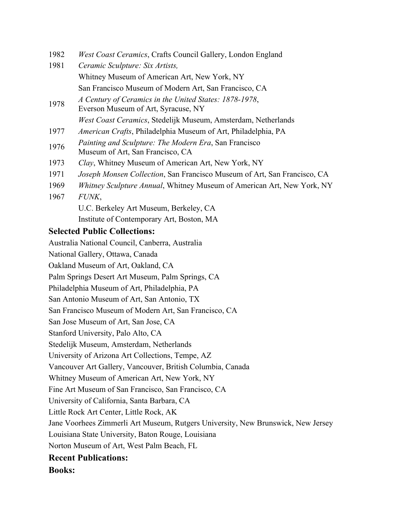- 1982 *West Coast Ceramics*, Crafts Council Gallery, London England
- 1981 *Ceramic Sculpture: Six Artists,* Whitney Museum of American Art, New York, NY San Francisco Museum of Modern Art, San Francisco, CA
- <sup>1978</sup> *A Century of Ceramics in the United States: 1878-1978*, Everson Museum of Art, Syracuse, NY *West Coast Ceramics*, Stedelijk Museum, Amsterdam, Netherlands
- 1977 *American Crafts*, Philadelphia Museum of Art, Philadelphia, PA
- <sup>1976</sup> *Painting and Sculpture: The Modern Era*, San Francisco Museum of Art, San Francisco, CA
- 1973 *Clay*, Whitney Museum of American Art, New York, NY
- 1971 *Joseph Monsen Collection*, San Francisco Museum of Art, San Francisco, CA
- 1969 *Whitney Sculpture Annual*, Whitney Museum of American Art, New York, NY
- 1967 *FUNK*, U.C. Berkeley Art Museum, Berkeley, CA Institute of Contemporary Art, Boston, MA

### **Selected Public Collections:**

Australia National Council, Canberra, Australia

National Gallery, Ottawa, Canada

Oakland Museum of Art, Oakland, CA

Palm Springs Desert Art Museum, Palm Springs, CA

Philadelphia Museum of Art, Philadelphia, PA

San Antonio Museum of Art, San Antonio, TX

San Francisco Museum of Modern Art, San Francisco, CA

San Jose Museum of Art, San Jose, CA

Stanford University, Palo Alto, CA

Stedelijk Museum, Amsterdam, Netherlands

University of Arizona Art Collections, Tempe, AZ

Vancouver Art Gallery, Vancouver, British Columbia, Canada

Whitney Museum of American Art, New York, NY

Fine Art Museum of San Francisco, San Francisco, CA

University of California, Santa Barbara, CA

Little Rock Art Center, Little Rock, AK

Jane Voorhees Zimmerli Art Museum, Rutgers University, New Brunswick, New Jersey

Louisiana State University, Baton Rouge, Louisiana

Norton Museum of Art, West Palm Beach, FL

# **Recent Publications:**

**Books:**